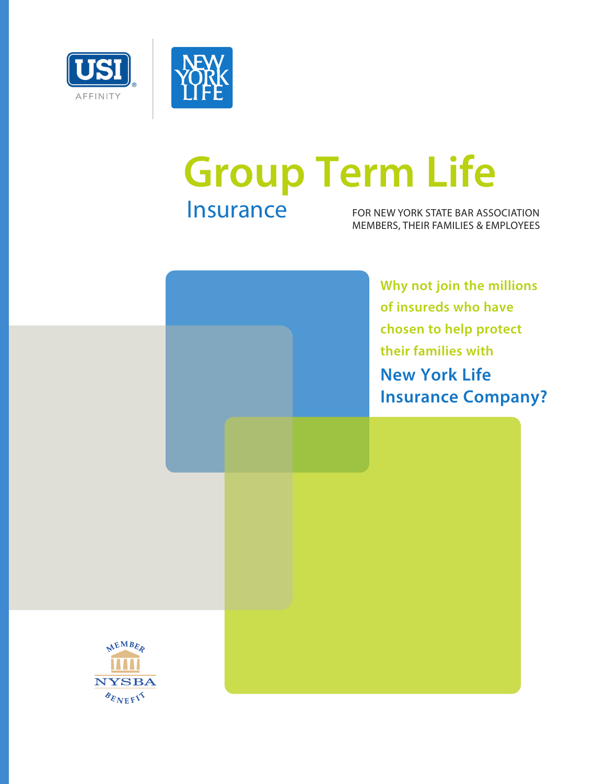

# Insurance FOR NEW YORK STATE BAR ASSOCIATION **Group Term Life**

MEMBERS, THEIR FAMILIES & EMPLOYEES

**Why not join the millions of insureds who have chosen to help protect their families with New York Life Insurance Company?**

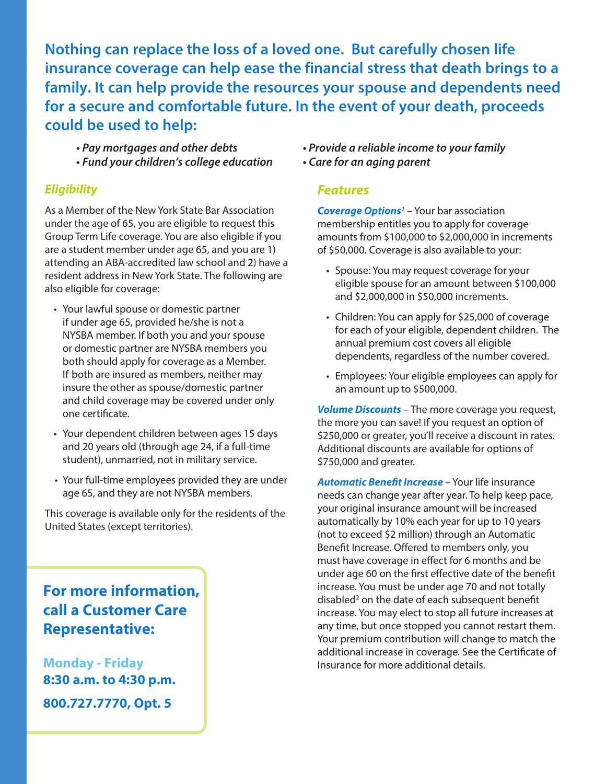**Nothing can replace the loss of a loved one. But carefully chosen life insurance coverage can help ease the financial stress that death brings to a family. It can help provide the resources your spouse and dependents need for a secure and comfortable future. In the event of your death, proceeds could be used to help:**

- *Pay mortgages and other debts*
- *Fund your children's college education*

#### *Eligibility*

As a Member of the New York State Bar Association under the age of 65, you are eligible to request this Group Term Life coverage. You are also eligible if you are a student member under age 65, and you are 1) attending an ABA-accredited law school and 2) have a resident address in New York State. The following are also eligible for coverage:

- Your lawful spouse or domestic partner if under age 65, provided he/she is not a NYSBA member. If both you and your spouse or domestic partner are NYSBA members you both should apply for coverage as a Member. If both are insured as members, neither may insure the other as spouse/domestic partner and child coverage may be covered under only one certificate.
- Your dependent children between ages 15 days and 20 years old (through age 24, if a full-time student), unmarried, not in military service.
- Your full-time employees provided they are under age 65, and they are not NYSBA members.

This coverage is available only for the residents of the United States (except territories).

**For more information, call a Customer Care Representative:**

**Monday - Friday 8:30 a.m. to 4:30 p.m. 800.727.7770, Opt. 5**

- *Provide a reliable income to your family*
- *Care for an aging parent*

#### *Features*

*Coverage Options1* – Your bar association membership entitles you to apply for coverage amounts from \$100,000 to \$2,000,000 in increments of \$50,000. Coverage is also available to your:

- Spouse: You may request coverage for your eligible spouse for an amount between \$100,000 and \$2,000,000 in \$50,000 increments.
- Children: You can apply for \$25,000 of coverage for each of your eligible, dependent children. The annual premium cost covers all eligible dependents, regardless of the number covered.
- Employees: Your eligible employees can apply for an amount up to \$500,000.

*Volume Discounts* – The more coverage you request, the more you can save! If you request an option of \$250,000 or greater, you'll receive a discount in rates. Additional discounts are available for options of \$750,000 and greater.

*Automatic Benefit Increase* – Your life insurance needs can change year after year. To help keep pace, your original insurance amount will be increased automatically by 10% each year for up to 10 years (not to exceed \$2 million) through an Automatic Benefit Increase. Offered to members only, you must have coverage in effect for 6 months and be under age 60 on the first effective date of the benefit increase. You must be under age 70 and not totally disabled<sup>2</sup> on the date of each subsequent benefit increase. You may elect to stop all future increases at any time, but once stopped you cannot restart them. Your premium contribution will change to match the additional increase in coverage. See the Certificate of Insurance for more additional details.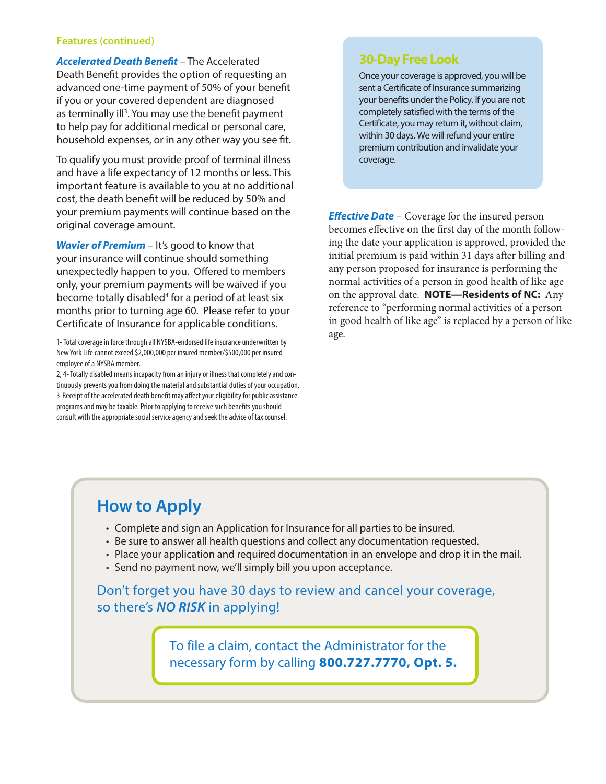#### **Features (continued)**

*Accelerated Death Benefit* – The Accelerated Death Benefit provides the option of requesting an advanced one-time payment of 50% of your benefit if you or your covered dependent are diagnosed as terminally ill<sup>3</sup>. You may use the benefit payment to help pay for additional medical or personal care, household expenses, or in any other way you see fit.

To qualify you must provide proof of terminal illness and have a life expectancy of 12 months or less. This important feature is available to you at no additional cost, the death benefit will be reduced by 50% and your premium payments will continue based on the original coverage amount.

*Wavier of Premium* – It's good to know that your insurance will continue should something unexpectedly happen to you. Offered to members only, your premium payments will be waived if you become totally disabled<sup>4</sup> for a period of at least six months prior to turning age 60. Please refer to your Certificate of Insurance for applicable conditions.

1- Total coverage in force through all NYSBA-endorsed life insurance underwritten by New York Life cannot exceed \$2,000,000 per insured member/\$500,000 per insured employee of a NYSBA member.

2, 4- Totally disabled means incapacity from an injury or illness that completely and continuously prevents you from doing the material and substantial duties of your occupation. 3-Receipt of the accelerated death benefit may affect your eligibility for public assistance programs and may be taxable. Prior to applying to receive such benefits you should consult with the appropriate social service agency and seek the advice of tax counsel.

#### **30-Day Free Look**

Once your coverage is approved, you will be sent a Certificate of Insurance summarizing your benefits under the Policy. If you are not completely satisfied with the terms of the Certificate, you may return it, without claim, within 30 days. We will refund your entire premium contribution and invalidate your coverage.

*Effective Date* – Coverage for the insured person becomes effective on the first day of the month following the date your application is approved, provided the initial premium is paid within 31 days after billing and any person proposed for insurance is performing the normal activities of a person in good health of like age on the approval date. **NOTE—Residents of NC:** Any reference to "performing normal activities of a person in good health of like age" is replaced by a person of like age.

## **How to Apply**

- Complete and sign an Application for Insurance for all parties to be insured.
- Be sure to answer all health questions and collect any documentation requested.
- Place your application and required documentation in an envelope and drop it in the mail.
- Send no payment now, we'll simply bill you upon acceptance.

Don't forget you have 30 days to review and cancel your coverage, so there's *NO RISK* in applying!

> To file a claim, contact the Administrator for the necessary form by calling **800.727.7770, Opt. 5.**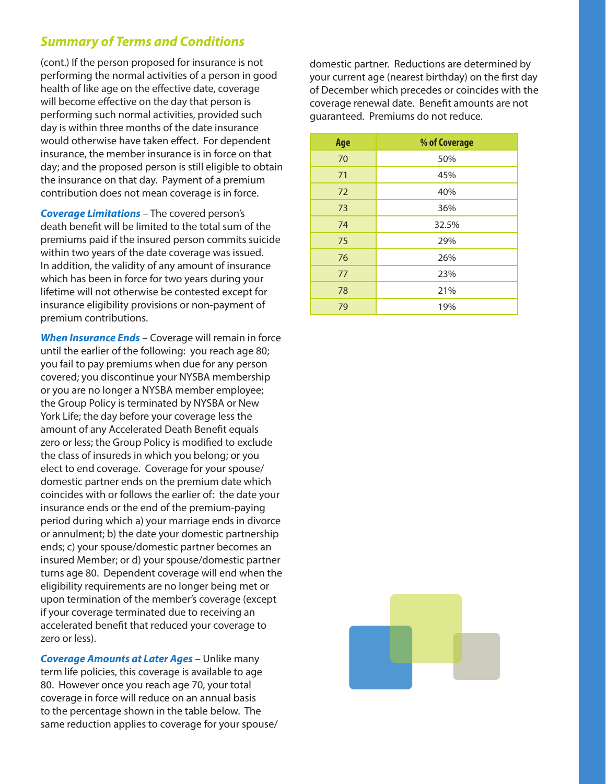### *Summary of Terms and Conditions*

(cont.) If the person proposed for insurance is not performing the normal activities of a person in good health of like age on the effective date, coverage will become effective on the day that person is performing such normal activities, provided such day is within three months of the date insurance would otherwise have taken effect. For dependent insurance, the member insurance is in force on that day; and the proposed person is still eligible to obtain the insurance on that day. Payment of a premium contribution does not mean coverage is in force.

*Coverage Limitations* – The covered person's death benefit will be limited to the total sum of the premiums paid if the insured person commits suicide within two years of the date coverage was issued. In addition, the validity of any amount of insurance which has been in force for two years during your lifetime will not otherwise be contested except for insurance eligibility provisions or non-payment of premium contributions.

*When Insurance Ends* – Coverage will remain in force until the earlier of the following: you reach age 80; you fail to pay premiums when due for any person covered; you discontinue your NYSBA membership or you are no longer a NYSBA member employee; the Group Policy is terminated by NYSBA or New York Life; the day before your coverage less the amount of any Accelerated Death Benefit equals zero or less; the Group Policy is modified to exclude the class of insureds in which you belong; or you elect to end coverage. Coverage for your spouse/ domestic partner ends on the premium date which coincides with or follows the earlier of: the date your insurance ends or the end of the premium-paying period during which a) your marriage ends in divorce or annulment; b) the date your domestic partnership ends; c) your spouse/domestic partner becomes an insured Member; or d) your spouse/domestic partner turns age 80. Dependent coverage will end when the eligibility requirements are no longer being met or upon termination of the member's coverage (except if your coverage terminated due to receiving an accelerated benefit that reduced your coverage to zero or less).

*Coverage Amounts at Later Ages* – Unlike many term life policies, this coverage is available to age 80. However once you reach age 70, your total coverage in force will reduce on an annual basis to the percentage shown in the table below. The same reduction applies to coverage for your spouse/ domestic partner. Reductions are determined by your current age (nearest birthday) on the first day of December which precedes or coincides with the coverage renewal date. Benefit amounts are not guaranteed. Premiums do not reduce.

| Age | % of Coverage |
|-----|---------------|
| 70  | 50%           |
| 71  | 45%           |
| 72  | 40%           |
| 73  | 36%           |
| 74  | 32.5%         |
| 75  | 29%           |
| 76  | 26%           |
| 77  | 23%           |
| 78  | 21%           |
| 79  | 19%           |

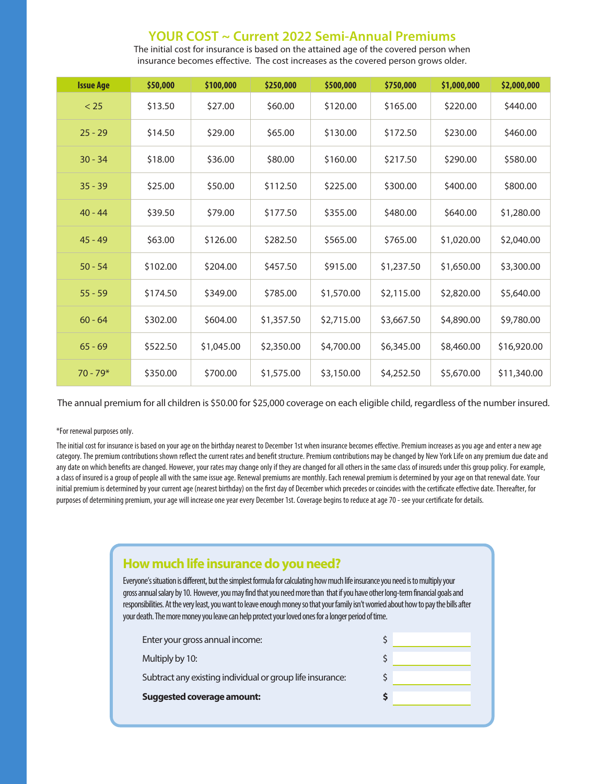#### **YOUR COST ~ Current 2022 Semi-Annual Premiums**

**Issue Age \$50,000 \$100,000 \$250,000 \$500,000 \$750,000 \$1,000,000 \$2,000,000**  $< 25$  \$13.50 \$27.00 \$60.00 \$120.00 \$165.00 \$220.00 \$440.00 25 - 29 \$14.50 \$29.00 \$65.00 \$130.00 \$172.50 \$230.00 \$460.00 30 - 34 \$18.00 \$36.00 \$80.00 \$160.00 \$217.50 \$290.00 \$580.00 35 - 39 \$25.00 \$50.00 \$112.50 \$225.00 \$300.00 \$400.00 \$800.00 40 - 44 \$39.50 \$79.00 \$177.50 \$355.00 \$480.00 \$640.00 \$1,280.00 45 - 49 \$63.00 \$126.00 \$282.50 \$565.00 \$765.00 \$1,020.00 \$2,040.00 50 - 54 \$102.00 \$204.00 \$457.50 \$915.00 \$1,237.50 \$1,650.00 \$3,300.00 55 - 59 \$174.50 \$349.00 \$785.00 \$1,570.00 \$2,115.00 \$2,820.00 \$5,640.00  $60 - 64$  \$302.00 \$604.00 \$1,357.50 \$2,715.00 \$3,667.50 \$4,890.00 \$9,780.00 65 - 69 \$522.50 \$1,045.00 \$2,350.00 \$4,700.00 \$6,345.00 \$8,460.00 \$16,920.00 70 - 79\* \$350.00 \$700.00 \$1,575.00 \$3,150.00 \$4,252.50 \$5,670.00 \$11,340.00

The initial cost for insurance is based on the attained age of the covered person when insurance becomes effective. The cost increases as the covered person grows older.

The annual premium for all children is \$50.00 for \$25,000 coverage on each eligible child, regardless of the number insured.

#### \*For renewal purposes only.

The initial cost for insurance is based on your age on the birthday nearest to December 1st when insurance becomes effective. Premium increases as you age and enter a new age category. The premium contributions shown reflect the current rates and benefit structure. Premium contributions may be changed by New York Life on any premium due date and any date on which benefits are changed. However, your rates may change only if they are changed for all others in the same class of insureds under this group policy. For example, a class of insured is a group of people all with the same issue age. Renewal premiums are monthly. Each renewal premium is determined by your age on that renewal date. Your initial premium is determined by your current age (nearest birthday) on the first day of December which precedes or coincides with the certificate effective date. Thereafter, for purposes of determining premium, your age will increase one year every December 1st. Coverage begins to reduce at age 70 - see your certificate for details.

| How much life insurance do you need? |  |
|--------------------------------------|--|
|--------------------------------------|--|

Everyone's situation is different, but the simplest formula for calculating how much life insurance you need is to multiply your gross annual salary by 10. However, you may find that you need more than that if you have other long-term financial goals and responsibilities. At the very least, you want to leave enough money so that your family isn't worried about how to pay the bills after your death. The more money you leave can help protect your loved ones for a longer period of time.

| Enter your gross annual income:                           |  |
|-----------------------------------------------------------|--|
| Multiply by 10:                                           |  |
| Subtract any existing individual or group life insurance: |  |
| <b>Suggested coverage amount:</b>                         |  |
|                                                           |  |